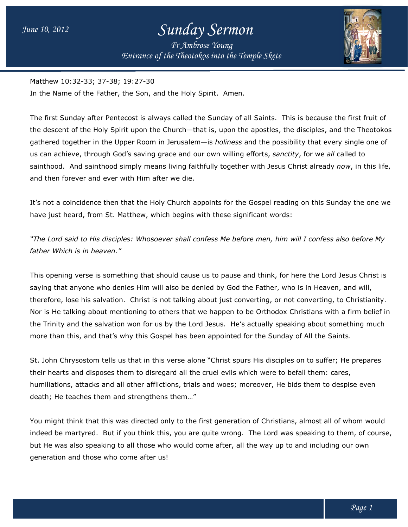*Entrance of the Entrance of Theotokos into the Temple Skete Fr Ambrose Young*



Matthew 10:32-33; 37-38; 19:27-30

Matthew 10:32-33; 37-38; 19:27-30<br>In the Name of the Father, the Son, and the Holy Spirit. Amen.

The first Sunday after Pentecost is always called the Sunday of all Saints. This is because the first fruit of the descent of the Holy Spirit upon the Church—that is, upon the apostles, the disciples, and the Theotokos gathered together in the Upper Room in Jerusalem—is *holiness* and the possibility that every single one of us can achieve, through God's saving grace and our own willing efforts, *sanctity*, for we sainthood. And sainthood simply means living faithfully together with Jesus Christ already *now*, in this life, and then forever and ever with Him after we die. is. This is because the first fi<br>les, the disciples, and the The<br>possibility that every single<br>sanctity, for we all called to

It's not a coincidence then that the Holy Church appoints for the Gospel reading on this Sunday the on have just heard, from St. Matthew, which begins with these significant words: sainthood. And sainthood simply means living faithfully together with Jesus Christ already *now*, in this<br>and then forever and ever with Him after we die.<br>It's not a coincidence then that the Holy Church appoints for the G one we

"The Lord said to His disciples: Whosoever shall confess Me before men, him will I confess also before My *father Which is in heaven."*

This opening verse is something that should cause us to pause and think, for here the Lord Jesus Christ is saying that anyone who denies Him will also be denied by God the Father, who is in Heaven, and will, This opening verse is something that should cause us to pause and think, for here the Lord Jesus Christ is<br>saying that anyone who denies Him will also be denied by God the Father, who is in Heaven, and will,<br>therefore, los Nor is He talking about mentioning to others that we happen to be Orthodox Christians with a firm belief in Nor is He talking about mentioning to others that we happen to be Orthodox Christians with a firm belief ii<br>the Trinity and the salvation won for us by the Lord Jesus. He's actually speaking about something much more than this, and that's why this Gospel has been appointed for the Sunday of All the Saints.

St. John Chrysostom tells us that in this verse alone "Christ spurs His disciples on to suffer; He prepares their hearts and disposes them to disregard all the cruel evils which were to befall them: cares, humiliations, attacks and all other afflictions, trials and woes; moreover, He bids them to despise even death; He teaches them and strengthens them…" humiliations, attacks and all other afflictions, trials and woes; moreover, He bids them to despise even<br>death; He teaches them and strengthens them..."<br>You might think that this was directed only to the first generation o his, and that's why this Gospel has been appointed for the Sunday of All the Saints.<br>
rysostom tells us that in this verse alone "Christ spurs His disciples on to suffer; He portional disposes them to disregard all the cru He's actually speaking about something much<br>ted for the Sunday of All the Saints.<br>spurs His disciples on to suffer; He prepares<br>ls which were to befall them: cares,<br>s; moreover, He bids them to despise even<br>ration of Chris

indeed be martyred. But if you think this, you are quite wrong. The Lord was speaking to them, of course, but He was also speaking to all those who would come after, all the way up to and including our own generation and those who come after us!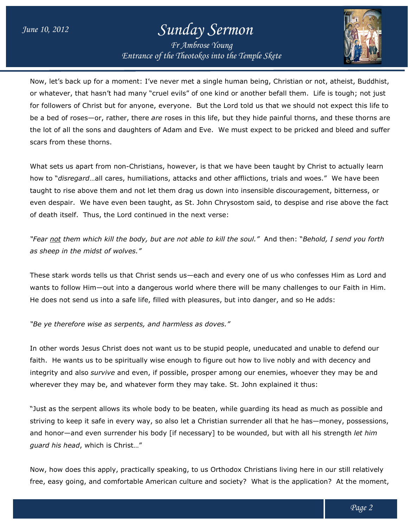*Entrance of the Entrance of Theotokos into the Temple Skete Fr Ambrose Young*



Now, let's back up for a moment: I've never met a single human being, Christian or not, atheist, Buddhist, or whatever, that hasn't had many "cruel evils" of one kind or another befall them. Life is tough; not just Now, let's back up for a moment: I've never met a single human being, Christian or not, atheist, Buddhist,<br>or whatever, that hasn't had many "cruel evils" of one kind or another befall them. Life is tough; not just<br>for fo be a bed of roses—or, rather, there *are* roses in this life, but they hide painful thorns, and these thorns are the lot of all the sons and daughters of Adam and Eve. We must expect to be pricked and bleed and suffer scars from these thorns. the Lord told us that we should not expect this life to<br>ife, but they hide painful thorns, and these thorns are<br>.. We must expect to be pricked and bleed and suffer<br>..<br>hat we have been taught by Christ to actually learn<br>..

What sets us apart from non-Christians, however, is that we have been taught by Christ to actually learn What sets us apart from non-Christians, however, is that we have been taught by Christ<br>how to "*disregard*…all cares, humiliations, attacks and other afflictions, trials and woes." taught to rise above them and not let them drag us down into insensible discouragement, bitterness, or even despair. We have even been taught, as St. John Chrysostom said, to despise and rise above the fac of death itself. Thus, the Lord continued in the next verse: taught to rise above them and not let them drag us down into insensible discouragement, bitterness, or<br>even despair. We have even been taught, as St. John Chrysostom said, to despise and rise above the fac<br>of death itself fact

"Fear not them which kill the body, but are not able to kill the soul." And then: "Behold, I send you forth *as sheep in the midst of wolves."*

These stark words tells us that Christ sends us—each and every one of us who confesses Him as Lord and These stark words tells us that Christ sends us—each and every one of us who confesses Him as Lord and<br>wants to follow Him—out into a dangerous world where there will be many challenges to our Faith in Him. wants to follow Him—out into a dangerous world where there will be many challenges to our Faith<br>He does not send us into a safe life, filled with pleasures, but into danger, and so He adds:

*"Be ye therefore wise as serpents, and harmless as doves." as serpents, as* 

In other words Jesus Christ does not want us to be stupid people, uneducated and unable to defend our faith. He wants us to be spiritually wise enough to figure out how to live nobly and with decency and integrity and also *survive* and even, if possible, prosper among our enemies, whoever they may be and wherever they may be, and whatever form they may take. St. John explained it thus: sasures, but into danger, and so He adds:<br>as doves."<br>e stupid people, uneducated and unable to defend our<br>o figure out how to live nobly and with decency and<br>rosper among our enemies, whoever they may be and<br>nay take. St.

"Just as the serpent allows its whole body to be beaten, while guarding its head as much as possible and integrity and also *survive* and even, if possible, prosper among our enemies, whoever they may be and<br>wherever they may be, and whatever form they may take. St. John explained it thus:<br>"Just as the serpent allows its whol and honor—and even surrender his body [if necessary] to be wounded, but with all his strength *let him guard his head*, which is Christ…"

Now, how does this apply, practically speaking, to us Orthodox Christians living here in our still relatively Now, how does this apply, practically speaking, to us Orthodox Christians living here in our still relatively<br>free, easy going, and comfortable American culture and society? What is the application? At the moment,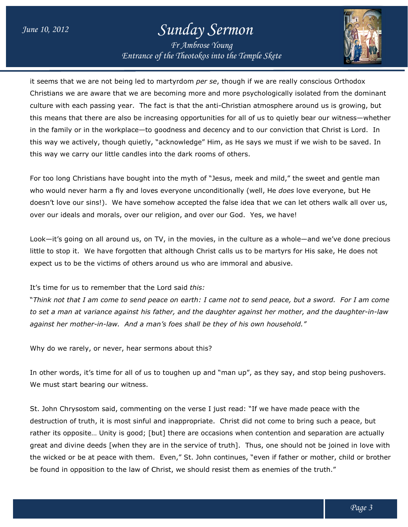*Entrance of the Entrance of Theotokos into the Temple Skete Fr Ambrose Young*



it seems that we are not being led to martyrdom *per se*, though if we are really conscious Orthodox Christians we are aware that we are becoming more and more psychologically isolated from the dominant culture with each passing year. The fact is that the anti-Christian atmosphere around us is growing, but this means that there are also be increasing opportunities for all of us to quietly bear our witness—whether this means that there are also be increasing opportunities for all of us to quietly bear our witness—wheth<br>in the family or in the workplace—to goodness and decency and to our conviction that Christ is Lord. In this way we actively, though quietly, "acknowledge" Him, as He says we must if we wish to be saved. In this way we carry our little candles into the dark rooms of others. this way we actively, though quietly, "acknowledge" Him, as He says we must if we wish to be saved. In<br>this way we carry our little candles into the dark rooms of others.<br>For too long Christians have bought into the myth o , though if we are really conscious Orthodox<br>d more psychologically isolated from the dominant<br>i-Christian atmosphere around us is growing, but<br>es for all of us to quietly bear our witness—whether

who would never harm a fly and loves everyone unconditionally (well, He *does* love everyone, but He For too long Christians have bought into the myth of "Jesus, meek and mild," the sweet and gentle man<br>who would never harm a fly and loves everyone unconditionally (well, He *does* love everyone, but He<br>doesn't love our si doesn't love our sins!). We have somehow accepted the false idea that we can l<br>over our ideals and morals, over our religion, and over our God. Yes, we have!

Look—it's going on all around us, on TV, in the movies, in the culture as a whole—and we've done precious little to stop it. We have forgotten that although Christ calls us to be martyrs for His sake, He does not expect us to be the victims of others around us who are immoral and abusive.

It's time for us to remember that the Lord said It's time *this:*

 $\lq$  *Think not that I am come to send peace on earth: I came not to send peace, but a sword. For I am come to set a man at variance against his father, and the daughter against her mother, and the daughter daughter-in-law*  to set a man at variance against his father, and the daughter against her mother,<br>against her mother-in-law. And a man's foes shall be they of his own household."

Why do we rarely, or never, hear sermons about this?

Why do we rarely, or never, hear sermons about this?<br>In other words, it's time for all of us to toughen up and "man up", as they say, and stop being pushovers. We must start bearing our witness.

St. John Chrysostom said, commenting on the verse I just read: "If we have made peace with the destruction of truth, it is most sinful and inappropriate. Christ did not come to bring such a peace, but rather its opposite... Unity is good; [but] there are occasions when contention and separation are actually great and divine deeds [when they are in the service of truth]. Thus, one should not be joined in love with the wicked or be at peace with them. Even," St. John continues, "even if father or mother, child or brother be found in opposition to the law of Christ, we should resist them as enemies of the truth." ve have made peace with the<br>t come to bring such a peace, but<br>intention and separation are actually<br>, one should not be joined in love with<br>en if father or mother, child or brother<br>enemies of the truth."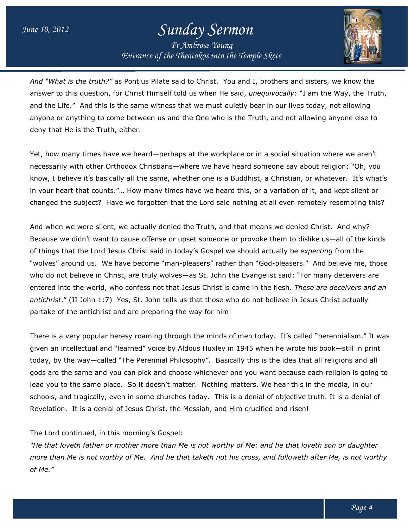*Entrance of the Entrance of Theotokos into the Temple Skete Fr Ambrose Young*



And "What is the truth?" as Pontius Pilate said to Christ. You and I, brothers and sisters, we know the And "What is the truth?" as Pontius Pilate said to Christ. You and I, brothers and sisters, we know the<br>answer to this question, for Christ Himself told us when He said, *unequivocally*: "I am the Way, the Truth, and the Life." And this is the same witness that we must quietly bear in our lives today, not allowing anyone or anything to come between us and the One who is the Truth, and not allowing anyone else to deny that He is the Truth, either. and the Life." And this is the same witness that we must quietly bear in our lives today, not allowing<br>anyone or anything to come between us and the One who is the Truth, and not allowing anyone else to<br>deny that He is the

necessarily with other Orthodox Christians—where we have heard someone say about religion: "Oh, you Yet, how many times have we heard—perhaps at the workplace or in a social situation where we aren't<br>necessarily with other Orthodox Christians—where we have heard someone say about religion: "Oh, you<br>know, I believe it's b in your heart that counts."… How many times have we heard this, or a variation of it, and kept silent or changed the subject? Have we forgotten that the Lord said nothing at all even remotely resembling this?

And when we were silent, we actually denied the Truth, and that means we denied Christ. Because we didn't want to cause offense or upset someone or provoke them to dislike us—all of the kinds of things that the Lord Jesus Christ said in today's Gospel we should actually be *expecting* from the "wolves" around us. We have become "man-pleasers" rather than "God-pleasers." And believe me, those who do not believe in Christ, *are* truly wolves—as St. John the Evangelist said: "For many deceivers are entered into the world, who confess not that Jesus Christ is come in the flesh*. These are deceivers and an antichrist*." (II John 1:7) Yes, St. John tells us that those who do not believe in Jesus Christ actually partake of the antichrist and are preparing the way for him! t that counts."... How many times have we heard this, or a variation of it, and<br>subject? Have we forgotten that the Lord said nothing at all even remotely re<br>e were silent, we actually denied the Truth, and that means we d Christ. And why? as St. John the Evangelist said: "For many deceivers are<br>sus Christ is come in the flesh*. These are deceivers and a*<br>that those who do not believe in Jesus Christ actually<br>way for him!<br>1 the minds of men today. It's calle

There is a very popular heresy roaming through the minds of men today. It's called "perennialism." It was given an intellectual and "learned" voice by Aldous Huxley in 1945 when he wrote his book-still in print given an intellectual and "learned" voice by Aldous Huxley in 1945 when he wrote his book—still in print<br>today, by the way—called "The Perennial Philosophy". Basically this is the idea that all religions and all gods are the same and you can pick and choose whichever one you want because each religion is going to gods are the same and you can pick and choose whichever one you want because each religion is goin<br>lead you to the same place. So it doesn't matter. Nothing matters. We hear this in the media, in our schools, and tragically, even in some churches today. This is a denial of objective truth. It is a denial of Revelation. It is a denial of Jesus Christ, the Messiah, and Him crucified and risen! cally this is<br>one you wa<br>matters. We<br>is a denial c

Revelation. It is a denial of Jesus Christ, the N<br>The Lord continued, in this morning's Gospel:

*"He that loveth father or mother more than Me is not worthy of Me: and he that loveth son or daughter*  "He that loveth father or mother more than Me is not worthy of Me: and he that loveth son or daughter<br>more than Me is not worthy of Me. And he that taketh not his cross, and followeth after Me, is not worthy *of Me."*